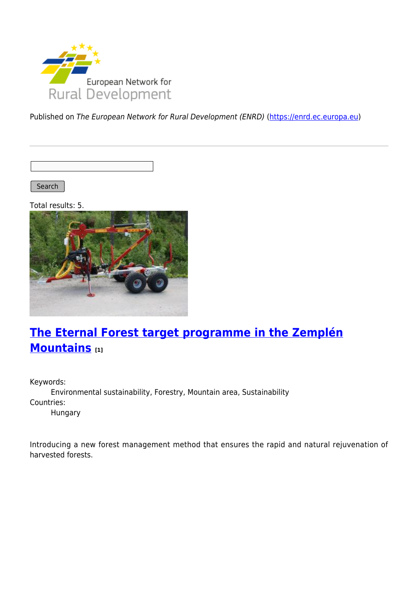

Published on The European Network for Rural Development (ENRD) [\(https://enrd.ec.europa.eu](https://enrd.ec.europa.eu))

Search |

Total results: 5.



# **[The Eternal Forest target programme in the Zemplén](https://enrd.ec.europa.eu/projects-practice/eternal-forest-target-programme-zemplen-mountains_en) [Mountains](https://enrd.ec.europa.eu/projects-practice/eternal-forest-target-programme-zemplen-mountains_en) [1]**

Keywords: Environmental sustainability, Forestry, Mountain area, Sustainability Countries: Hungary

Introducing a new forest management method that ensures the rapid and natural rejuvenation of harvested forests.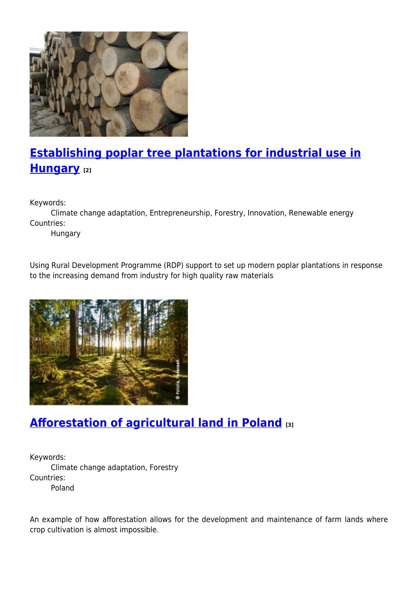

# **[Establishing poplar tree plantations for industrial use in](https://enrd.ec.europa.eu/projects-practice/establishing-poplar-tree-plantations-industrial-use-hungary_en) [Hungary](https://enrd.ec.europa.eu/projects-practice/establishing-poplar-tree-plantations-industrial-use-hungary_en) [2]**

Keywords:

Climate change adaptation, Entrepreneurship, Forestry, Innovation, Renewable energy Countries:

Hungary

Using Rural Development Programme (RDP) support to set up modern poplar plantations in response to the increasing demand from industry for high quality raw materials



## **[Afforestation of agricultural land in Poland](https://enrd.ec.europa.eu/projects-practice/afforestation-agricultural-land-poland_en) [3]**

Keywords: Climate change adaptation, Forestry Countries: Poland

An example of how afforestation allows for the development and maintenance of farm lands where crop cultivation is almost impossible.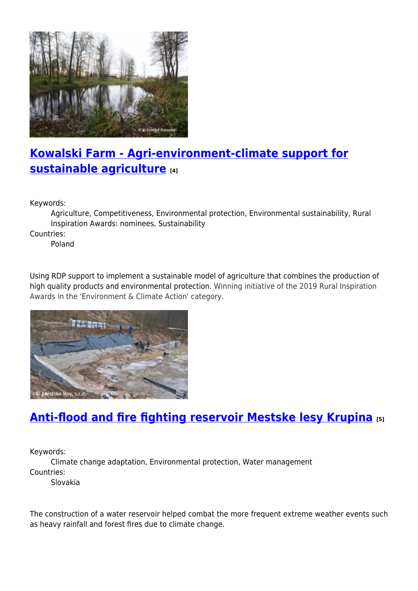

## **[Kowalski Farm - Agri-environment-climate support for](https://enrd.ec.europa.eu/projects-practice/kowalski-farm-agri-environment-climate-support-sustainable-agriculture_en) [sustainable agriculture](https://enrd.ec.europa.eu/projects-practice/kowalski-farm-agri-environment-climate-support-sustainable-agriculture_en) [4]**

Keywords:

Agriculture, Competitiveness, Environmental protection, Environmental sustainability, Rural Inspiration Awards: nominees, Sustainability

Countries:

Poland

Using RDP support to implement a sustainable model of agriculture that combines the production of high quality products and environmental protection. Winning initiative of the 2019 Rural Inspiration Awards in the 'Environment & Climate Action' category.



## **[Anti-flood and fire fighting reservoir Mestske lesy Krupina](https://enrd.ec.europa.eu/projects-practice/anti-flood-and-fire-fighting-reservoir-mestske-lesy-krupina_en) [5]**

Keywords:

Climate change adaptation, Environmental protection, Water management Countries:

Slovakia

The construction of a water reservoir helped combat the more frequent extreme weather events such as heavy rainfall and forest fires due to climate change.